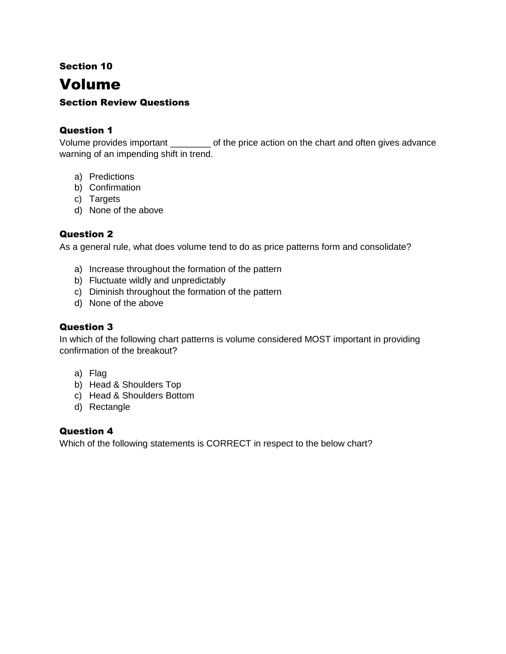Section 10

# Volume

## Section Review Questions

### Question 1

Volume provides important \_\_\_\_\_\_\_\_ of the price action on the chart and often gives advance warning of an impending shift in trend.

- a) Predictions
- b) Confirmation
- c) Targets
- d) None of the above

#### Question 2

As a general rule, what does volume tend to do as price patterns form and consolidate?

- a) Increase throughout the formation of the pattern
- b) Fluctuate wildly and unpredictably
- c) Diminish throughout the formation of the pattern
- d) None of the above

#### Question 3

In which of the following chart patterns is volume considered MOST important in providing confirmation of the breakout?

- a) Flag
- b) Head & Shoulders Top
- c) Head & Shoulders Bottom
- d) Rectangle

#### Question 4

Which of the following statements is CORRECT in respect to the below chart?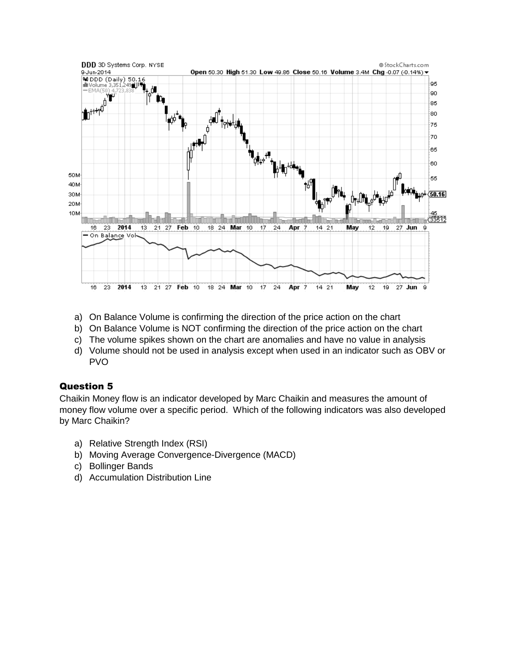

- a) On Balance Volume is confirming the direction of the price action on the chart
- b) On Balance Volume is NOT confirming the direction of the price action on the chart
- c) The volume spikes shown on the chart are anomalies and have no value in analysis
- d) Volume should not be used in analysis except when used in an indicator such as OBV or PVO

#### Question 5

Chaikin Money flow is an indicator developed by Marc Chaikin and measures the amount of money flow volume over a specific period. Which of the following indicators was also developed by Marc Chaikin?

- a) Relative Strength Index (RSI)
- b) Moving Average Convergence-Divergence (MACD)
- c) Bollinger Bands
- d) Accumulation Distribution Line